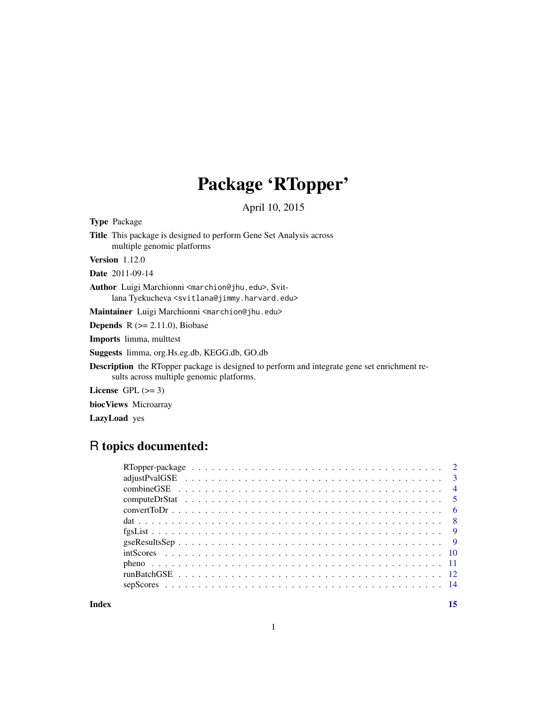## Package 'RTopper'

April 10, 2015

<span id="page-0-0"></span>Type Package

Title This package is designed to perform Gene Set Analysis across multiple genomic platforms

Version 1.12.0

Date 2011-09-14

Author Luigi Marchionni <marchion@jhu.edu>, Svitlana Tyekucheva <svitlana@jimmy.harvard.edu>

Maintainer Luigi Marchionni <marchion@jhu.edu>

**Depends**  $R$  ( $>= 2.11.0$ ), Biobase

Imports limma, multtest

Suggests limma, org.Hs.eg.db, KEGG.db, GO.db

Description the RTopper package is designed to perform and integrate gene set enrichment results across multiple genomic platforms.

License GPL  $(>= 3)$ 

biocViews Microarray

LazyLoad yes

### R topics documented:

**Index** [15](#page-14-0)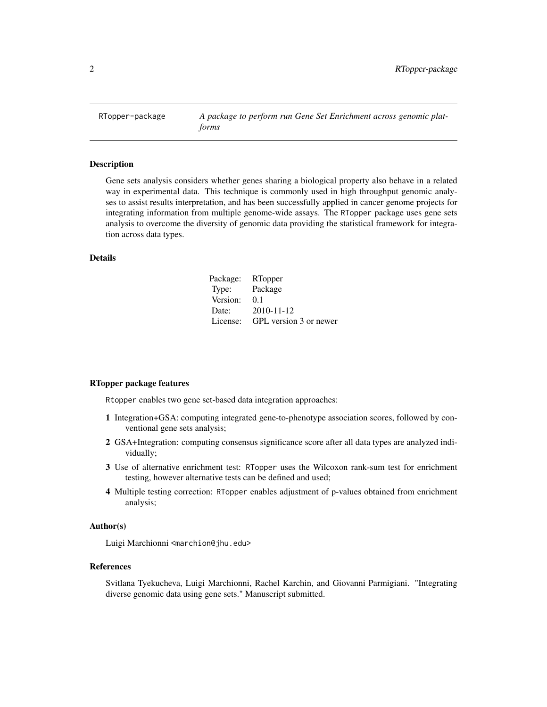<span id="page-1-0"></span>RTopper-package *A package to perform run Gene Set Enrichment across genomic platforms*

#### Description

Gene sets analysis considers whether genes sharing a biological property also behave in a related way in experimental data. This technique is commonly used in high throughput genomic analyses to assist results interpretation, and has been successfully applied in cancer genome projects for integrating information from multiple genome-wide assays. The RTopper package uses gene sets analysis to overcome the diversity of genomic data providing the statistical framework for integration across data types.

#### Details

| Package: | RTopper                |
|----------|------------------------|
| Type:    | Package                |
| Version: | 0.1                    |
| Date:    | 2010-11-12             |
| License: | GPL version 3 or newer |

#### RTopper package features

Rtopper enables two gene set-based data integration approaches:

- 1 Integration+GSA: computing integrated gene-to-phenotype association scores, followed by conventional gene sets analysis;
- 2 GSA+Integration: computing consensus significance score after all data types are analyzed individually;
- 3 Use of alternative enrichment test: RTopper uses the Wilcoxon rank-sum test for enrichment testing, however alternative tests can be defined and used;
- 4 Multiple testing correction: RTopper enables adjustment of p-values obtained from enrichment analysis;

#### Author(s)

Luigi Marchionni <marchion@jhu.edu>

#### References

Svitlana Tyekucheva, Luigi Marchionni, Rachel Karchin, and Giovanni Parmigiani. "Integrating diverse genomic data using gene sets." Manuscript submitted.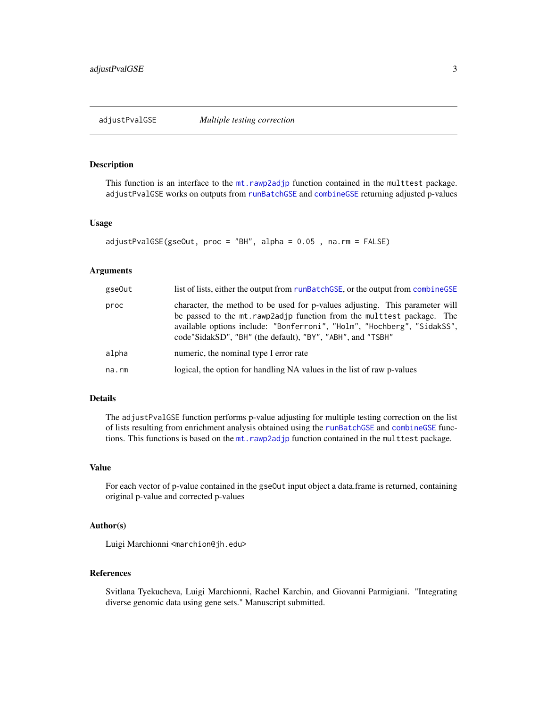<span id="page-2-1"></span><span id="page-2-0"></span>

#### **Description**

This function is an interface to the [mt.rawp2adjp](#page-0-0) function contained in the multtest package. adjustPvalGSE works on outputs from [runBatchGSE](#page-11-1) and [combineGSE](#page-3-1) returning adjusted p-values

#### Usage

```
adjustPvalGSE(gseOut, proc = "BH", alpha = 0.05 , na.rm = FALSE)
```
#### Arguments

| gse0ut | list of lists, either the output from runBatchGSE, or the output from combineGSE                                                                                                                                                                                                                 |
|--------|--------------------------------------------------------------------------------------------------------------------------------------------------------------------------------------------------------------------------------------------------------------------------------------------------|
| proc   | character, the method to be used for p-values adjusting. This parameter will<br>be passed to the mt. rawp2adjp function from the multerest package. The<br>available options include: "Bonferroni", "Holm", "Hochberg", "SidakSS",<br>code"SidakSD", "BH" (the default), "BY", "ABH", and "TSBH" |
| alpha  | numeric, the nominal type I error rate                                                                                                                                                                                                                                                           |
| na.rm  | logical, the option for handling NA values in the list of raw p-values                                                                                                                                                                                                                           |

#### Details

The adjustPvalGSE function performs p-value adjusting for multiple testing correction on the list of lists resulting from enrichment analysis obtained using the [runBatchGSE](#page-11-1) and [combineGSE](#page-3-1) functions. This functions is based on the mt. rawp2adjp function contained in the multtest package.

#### Value

For each vector of p-value contained in the gseOut input object a data.frame is returned, containing original p-value and corrected p-values

### Author(s)

Luigi Marchionni <marchion@jh.edu>

#### References

Svitlana Tyekucheva, Luigi Marchionni, Rachel Karchin, and Giovanni Parmigiani. "Integrating diverse genomic data using gene sets." Manuscript submitted.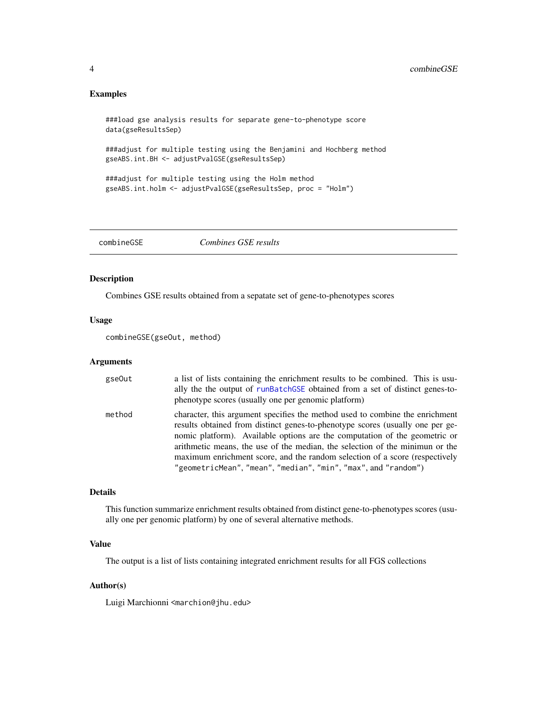#### <span id="page-3-0"></span>Examples

```
###load gse analysis results for separate gene-to-phenotype score
data(gseResultsSep)
```
###adjust for multiple testing using the Benjamini and Hochberg method gseABS.int.BH <- adjustPvalGSE(gseResultsSep)

```
###adjust for multiple testing using the Holm method
gseABS.int.holm <- adjustPvalGSE(gseResultsSep, proc = "Holm")
```
<span id="page-3-1"></span>combineGSE *Combines GSE results*

#### Description

Combines GSE results obtained from a sepatate set of gene-to-phenotypes scores

#### Usage

combineGSE(gseOut, method)

#### Arguments

| gse0ut | a list of lists containing the enrichment results to be combined. This is usu-<br>ally the the output of runBatchGSE obtained from a set of distinct genes-to-<br>phenotype scores (usually one per genomic platform)                                                                                                                                                                                                                                                        |
|--------|------------------------------------------------------------------------------------------------------------------------------------------------------------------------------------------------------------------------------------------------------------------------------------------------------------------------------------------------------------------------------------------------------------------------------------------------------------------------------|
| method | character, this argument specifies the method used to combine the enrichment<br>results obtained from distinct genes-to-phenotype scores (usually one per ge-<br>nomic platform). Available options are the computation of the geometric or<br>arithmetic means, the use of the median, the selection of the minimun or the<br>maximum enrichment score, and the random selection of a score (respectively<br>"geometricMean", "mean", "median", "min", "max", and "random") |

#### Details

This function summarize enrichment results obtained from distinct gene-to-phenotypes scores (usually one per genomic platform) by one of several alternative methods.

#### Value

The output is a list of lists containing integrated enrichment results for all FGS collections

#### Author(s)

Luigi Marchionni <marchion@jhu.edu>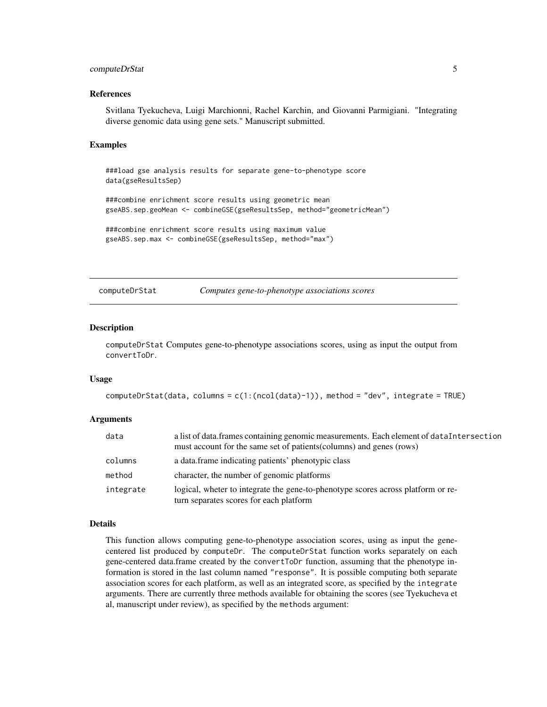#### <span id="page-4-0"></span>computeDrStat 5

#### References

Svitlana Tyekucheva, Luigi Marchionni, Rachel Karchin, and Giovanni Parmigiani. "Integrating diverse genomic data using gene sets." Manuscript submitted.

#### Examples

```
###load gse analysis results for separate gene-to-phenotype score
data(gseResultsSep)
###combine enrichment score results using geometric mean
gseABS.sep.geoMean <- combineGSE(gseResultsSep, method="geometricMean")
###combine enrichment score results using maximum value
gseABS.sep.max <- combineGSE(gseResultsSep, method="max")
```
<span id="page-4-1"></span>computeDrStat *Computes gene-to-phenotype associations scores*

#### Description

computeDrStat Computes gene-to-phenotype associations scores, using as input the output from convertToDr.

#### Usage

```
computeDrStat(data, columns = c(1:(ncol(data)-1)), method = "dev", integrate = TRUE)
```
#### Arguments

| data      | a list of data. frames containing genomic measurements. Each element of dataIntersection<br>must account for the same set of patients (columns) and genes (rows) |
|-----------|------------------------------------------------------------------------------------------------------------------------------------------------------------------|
| columns   | a data frame indicating patients' phenotypic class                                                                                                               |
| method    | character, the number of genomic platforms                                                                                                                       |
| integrate | logical, wheter to integrate the gene-to-phenotype scores across platform or re-<br>turn separates scores for each platform                                      |

#### Details

This function allows computing gene-to-phenotype association scores, using as input the genecentered list produced by computeDr. The computeDrStat function works separately on each gene-centered data.frame created by the convertToDr function, assuming that the phenotype information is stored in the last column named "response". It is possible computing both separate association scores for each platform, as well as an integrated score, as specified by the integrate arguments. There are currently three methods available for obtaining the scores (see Tyekucheva et al, manuscript under review), as specified by the methods argument: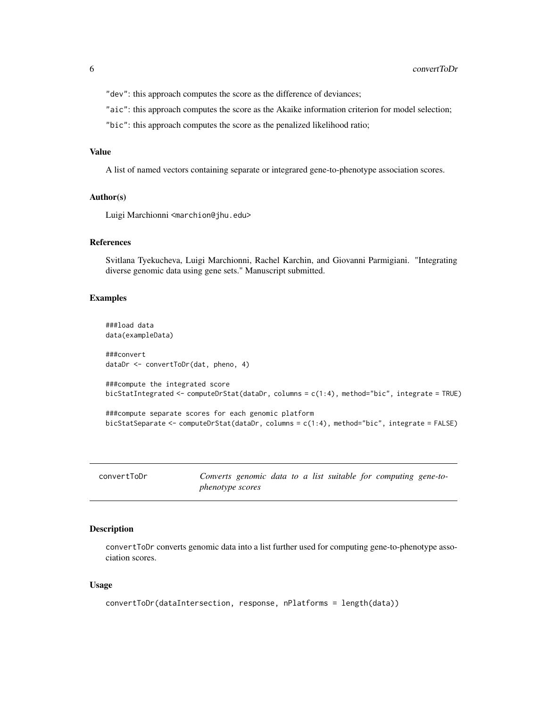<span id="page-5-0"></span>"dev": this approach computes the score as the difference of deviances;

"aic": this approach computes the score as the Akaike information criterion for model selection;

"bic": this approach computes the score as the penalized likelihood ratio;

#### Value

A list of named vectors containing separate or integrared gene-to-phenotype association scores.

#### Author(s)

Luigi Marchionni <marchion@jhu.edu>

#### References

Svitlana Tyekucheva, Luigi Marchionni, Rachel Karchin, and Giovanni Parmigiani. "Integrating diverse genomic data using gene sets." Manuscript submitted.

#### Examples

```
###load data
data(exampleData)
###convert
dataDr <- convertToDr(dat, pheno, 4)
###compute the integrated score
bicStatIntegrated <- computeDrStat(dataDr, columns = c(1:4), method="bic", integrate = TRUE)
###compute separate scores for each genomic platform
```
bicStatSeparate <- computeDrStat(dataDr, columns = c(1:4), method="bic", integrate = FALSE)

<span id="page-5-1"></span>

| convertToDr |
|-------------|
|-------------|

Converts genomic data to a list suitable for computing gene-to*phenotype scores*

#### Description

convertToDr converts genomic data into a list further used for computing gene-to-phenotype association scores.

#### Usage

```
convertToDr(dataIntersection, response, nPlatforms = length(data))
```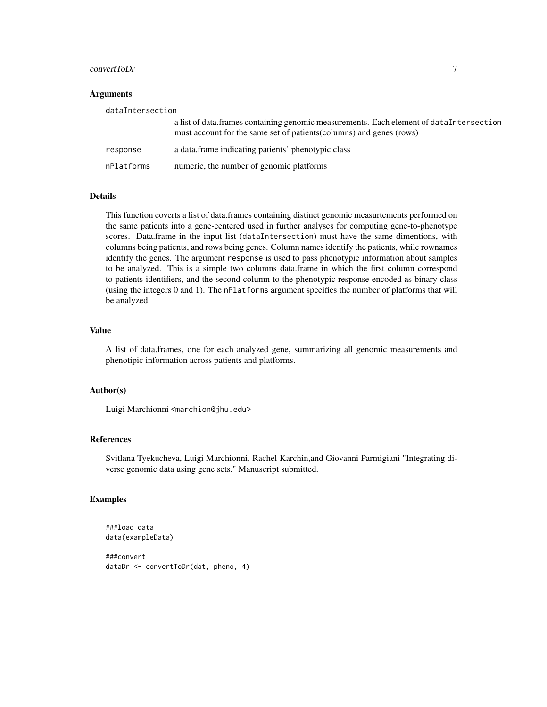#### convertToDr 7

#### **Arguments**

| dataIntersection |                                                                                                                                                                  |  |
|------------------|------------------------------------------------------------------------------------------------------------------------------------------------------------------|--|
|                  | a list of data. frames containing genomic measurements. Each element of dataIntersection<br>must account for the same set of patients (columns) and genes (rows) |  |
| response         | a data frame indicating patients' phenotypic class                                                                                                               |  |
| nPlatforms       | numeric, the number of genomic platforms                                                                                                                         |  |

#### Details

This function coverts a list of data.frames containing distinct genomic measurtements performed on the same patients into a gene-centered used in further analyses for computing gene-to-phenotype scores. Data.frame in the input list (dataIntersection) must have the same dimentions, with columns being patients, and rows being genes. Column names identify the patients, while rownames identify the genes. The argument response is used to pass phenotypic information about samples to be analyzed. This is a simple two columns data.frame in which the first column correspond to patients identifiers, and the second column to the phenotypic response encoded as binary class (using the integers 0 and 1). The nPlatforms argument specifies the number of platforms that will be analyzed.

#### Value

A list of data.frames, one for each analyzed gene, summarizing all genomic measurements and phenotipic information across patients and platforms.

#### Author(s)

Luigi Marchionni <marchion@jhu.edu>

#### References

Svitlana Tyekucheva, Luigi Marchionni, Rachel Karchin,and Giovanni Parmigiani "Integrating diverse genomic data using gene sets." Manuscript submitted.

#### Examples

```
###load data
data(exampleData)
```
###convert dataDr <- convertToDr(dat, pheno, 4)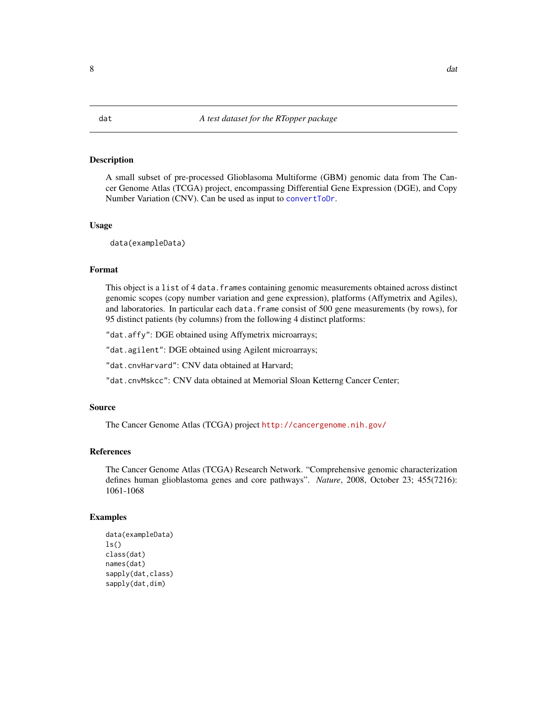#### <span id="page-7-1"></span><span id="page-7-0"></span>Description

A small subset of pre-processed Glioblasoma Multiforme (GBM) genomic data from The Cancer Genome Atlas (TCGA) project, encompassing Differential Gene Expression (DGE), and Copy Number Variation (CNV). Can be used as input to [convertToDr](#page-5-1).

#### Usage

data(exampleData)

#### Format

This object is a list of 4 data.frames containing genomic measurements obtained across distinct genomic scopes (copy number variation and gene expression), platforms (Affymetrix and Agiles), and laboratories. In particular each data.frame consist of 500 gene measurements (by rows), for 95 distinct patients (by columns) from the following 4 distinct platforms:

"dat.affy": DGE obtained using Affymetrix microarrays;

"dat.agilent": DGE obtained using Agilent microarrays;

"dat.cnvHarvard": CNV data obtained at Harvard;

"dat.cnvMskcc": CNV data obtained at Memorial Sloan Ketterng Cancer Center;

#### Source

The Cancer Genome Atlas (TCGA) project <http://cancergenome.nih.gov/>

#### References

The Cancer Genome Atlas (TCGA) Research Network. "Comprehensive genomic characterization defines human glioblastoma genes and core pathways". *Nature*, 2008, October 23; 455(7216): 1061-1068

#### Examples

```
data(exampleData)
ls()class(dat)
names(dat)
sapply(dat,class)
sapply(dat,dim)
```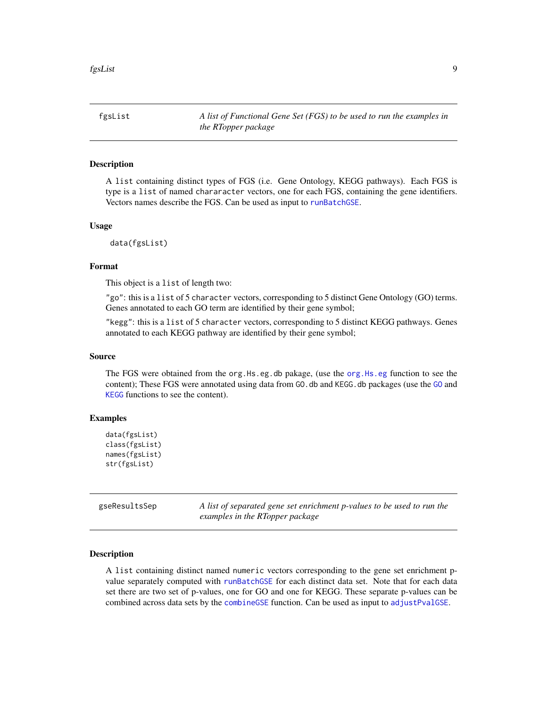<span id="page-8-1"></span><span id="page-8-0"></span>fgsList *A list of Functional Gene Set (FGS) to be used to run the examples in the RTopper package*

#### Description

A list containing distinct types of FGS (i.e. Gene Ontology, KEGG pathways). Each FGS is type is a list of named chararacter vectors, one for each FGS, containing the gene identifiers. Vectors names describe the FGS. Can be used as input to [runBatchGSE](#page-11-1).

#### Usage

data(fgsList)

#### Format

This object is a list of length two:

"go": this is a list of 5 character vectors, corresponding to 5 distinct Gene Ontology (GO) terms. Genes annotated to each GO term are identified by their gene symbol;

"kegg": this is a list of 5 character vectors, corresponding to 5 distinct KEGG pathways. Genes annotated to each KEGG pathway are identified by their gene symbol;

#### Source

The FGS were obtained from the org.Hs.eg.db pakage, (use the [org.Hs.eg](#page-0-0) function to see the content); These FGS were annotated using data from [GO](#page-0-0). db and KEGG. db packages (use the GO and [KEGG](#page-0-0) functions to see the content).

#### Examples

```
data(fgsList)
class(fgsList)
names(fgsList)
str(fgsList)
```
gseResultsSep *A list of separated gene set enrichment p-values to be used to run the examples in the RTopper package*

#### Description

A list containing distinct named numeric vectors corresponding to the gene set enrichment pvalue separately computed with [runBatchGSE](#page-11-1) for each distinct data set. Note that for each data set there are two set of p-values, one for GO and one for KEGG. These separate p-values can be combined across data sets by the [combineGSE](#page-3-1) function. Can be used as input to [adjustPvalGSE](#page-2-1).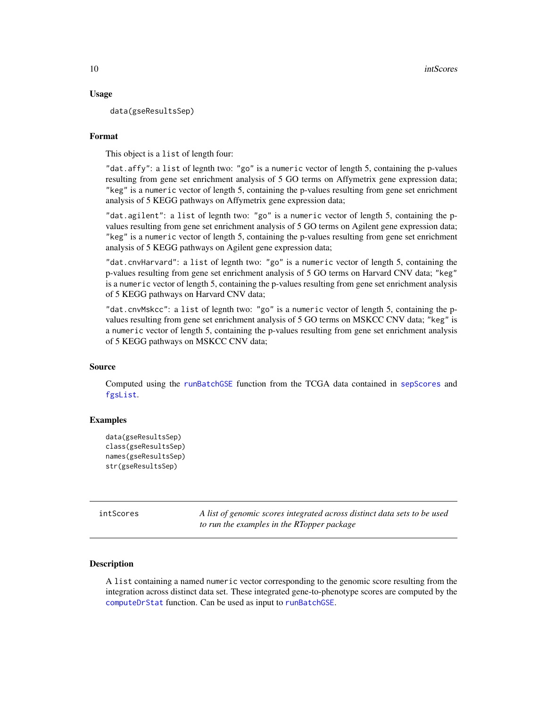#### <span id="page-9-0"></span>Usage

data(gseResultsSep)

#### Format

This object is a list of length four:

"dat.affy": a list of legnth two: "go" is a numeric vector of length 5, containing the p-values resulting from gene set enrichment analysis of 5 GO terms on Affymetrix gene expression data; "keg" is a numeric vector of length 5, containing the p-values resulting from gene set enrichment analysis of 5 KEGG pathways on Affymetrix gene expression data;

"dat.agilent": a list of legnth two: "go" is a numeric vector of length 5, containing the pvalues resulting from gene set enrichment analysis of 5 GO terms on Agilent gene expression data; "keg" is a numeric vector of length 5, containing the p-values resulting from gene set enrichment analysis of 5 KEGG pathways on Agilent gene expression data;

"dat.cnvHarvard": a list of legnth two: "go" is a numeric vector of length 5, containing the p-values resulting from gene set enrichment analysis of 5 GO terms on Harvard CNV data; "keg" is a numeric vector of length 5, containing the p-values resulting from gene set enrichment analysis of 5 KEGG pathways on Harvard CNV data;

"dat.cnvMskcc": a list of legnth two: "go" is a numeric vector of length 5, containing the pvalues resulting from gene set enrichment analysis of 5 GO terms on MSKCC CNV data; "keg" is a numeric vector of length 5, containing the p-values resulting from gene set enrichment analysis of 5 KEGG pathways on MSKCC CNV data;

#### Source

Computed using the [runBatchGSE](#page-11-1) function from the TCGA data contained in [sepScores](#page-13-1) and [fgsList](#page-8-1).

#### Examples

```
data(gseResultsSep)
class(gseResultsSep)
names(gseResultsSep)
str(gseResultsSep)
```
intScores *A list of genomic scores integrated across distinct data sets to be used to run the examples in the RTopper package*

#### Description

A list containing a named numeric vector corresponding to the genomic score resulting from the integration across distinct data set. These integrated gene-to-phenotype scores are computed by the [computeDrStat](#page-4-1) function. Can be used as input to [runBatchGSE](#page-11-1).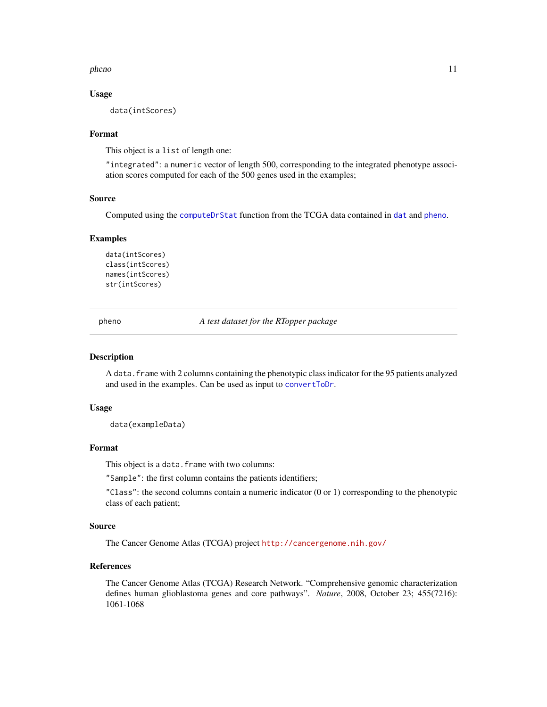#### <span id="page-10-0"></span>pheno and the state of the state of the state of the state of the state of the state of the state of the state of the state of the state of the state of the state of the state of the state of the state of the state of the

#### Usage

data(intScores)

#### Format

This object is a list of length one:

"integrated": a numeric vector of length 500, corresponding to the integrated phenotype association scores computed for each of the 500 genes used in the examples;

#### Source

Computed using the [computeDrStat](#page-4-1) function from the TCGA data contained in [dat](#page-7-1) and [pheno](#page-10-1).

#### Examples

```
data(intScores)
class(intScores)
names(intScores)
str(intScores)
```
<span id="page-10-1"></span>pheno *A test dataset for the RTopper package*

#### **Description**

A data.frame with 2 columns containing the phenotypic class indicator for the 95 patients analyzed and used in the examples. Can be used as input to [convertToDr](#page-5-1).

#### Usage

data(exampleData)

#### Format

This object is a data. frame with two columns:

"Sample": the first column contains the patients identifiers;

"Class": the second columns contain a numeric indicator (0 or 1) corresponding to the phenotypic class of each patient;

#### Source

The Cancer Genome Atlas (TCGA) project <http://cancergenome.nih.gov/>

#### References

The Cancer Genome Atlas (TCGA) Research Network. "Comprehensive genomic characterization defines human glioblastoma genes and core pathways". *Nature*, 2008, October 23; 455(7216): 1061-1068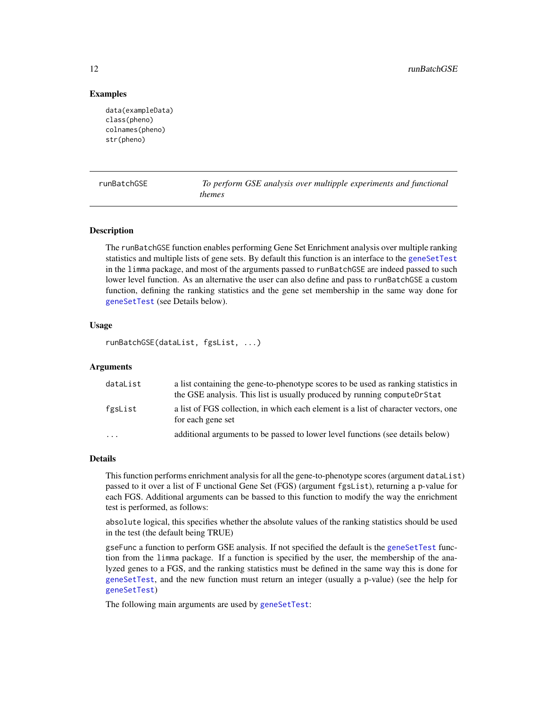#### Examples

```
data(exampleData)
class(pheno)
colnames(pheno)
str(pheno)
```
<span id="page-11-1"></span>runBatchGSE *To perform GSE analysis over multipple experiments and functional themes*

#### Description

The runBatchGSE function enables performing Gene Set Enrichment analysis over multiple ranking statistics and multiple lists of gene sets. By default this function is an interface to the [geneSetTest](#page-0-0) in the limma package, and most of the arguments passed to runBatchGSE are indeed passed to such lower level function. As an alternative the user can also define and pass to runBatchGSE a custom function, defining the ranking statistics and the gene set membership in the same way done for [geneSetTest](#page-0-0) (see Details below).

#### Usage

```
runBatchGSE(dataList, fgsList, ...)
```
#### Arguments

| dataList | a list containing the gene-to-phenotype scores to be used as ranking statistics in<br>the GSE analysis. This list is usually produced by running computeDrStat |
|----------|----------------------------------------------------------------------------------------------------------------------------------------------------------------|
| fgsList  | a list of FGS collection, in which each element is a list of character vectors, one<br>for each gene set                                                       |
| .        | additional arguments to be passed to lower level functions (see details below)                                                                                 |

#### Details

This function performs enrichment analysis for all the gene-to-phenotype scores (argument dataList) passed to it over a list of F unctional Gene Set (FGS) (argument fgsList), returning a p-value for each FGS. Additional arguments can be bassed to this function to modify the way the enrichment test is performed, as follows:

absolute logical, this specifies whether the absolute values of the ranking statistics should be used in the test (the default being TRUE)

gseFunc a function to perform GSE analysis. If not specified the default is the [geneSetTest](#page-0-0) function from the limma package. If a function is specified by the user, the membership of the analyzed genes to a FGS, and the ranking statistics must be defined in the same way this is done for [geneSetTest](#page-0-0), and the new function must return an integer (usually a p-value) (see the help for [geneSetTest](#page-0-0))

The following main arguments are used by [geneSetTest](#page-0-0):

<span id="page-11-0"></span>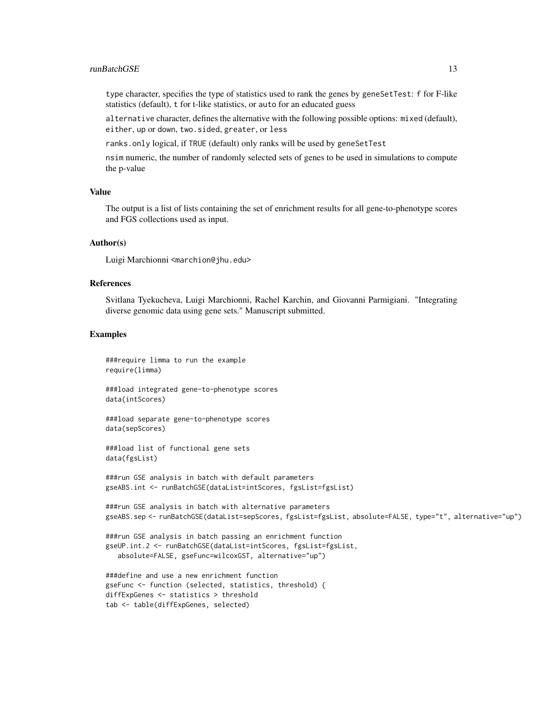#### runBatchGSE 13

type character, specifies the type of statistics used to rank the genes by geneSetTest: f for F-like statistics (default), t for t-like statistics, or auto for an educated guess

alternative character, defines the alternative with the following possible options: mixed (default), either, up or down, two.sided, greater, or less

ranks.only logical, if TRUE (default) only ranks will be used by geneSetTest

nsim numeric, the number of randomly selected sets of genes to be used in simulations to compute the p-value

#### Value

The output is a list of lists containing the set of enrichment results for all gene-to-phenotype scores and FGS collections used as input.

#### Author(s)

Luigi Marchionni <marchion@jhu.edu>

#### References

Svitlana Tyekucheva, Luigi Marchionni, Rachel Karchin, and Giovanni Parmigiani. "Integrating diverse genomic data using gene sets." Manuscript submitted.

#### Examples

###require limma to run the example require(limma)

###load integrated gene-to-phenotype scores data(intScores)

###load separate gene-to-phenotype scores data(sepScores)

###load list of functional gene sets data(fgsList)

###run GSE analysis in batch with default parameters gseABS.int <- runBatchGSE(dataList=intScores, fgsList=fgsList)

```
###run GSE analysis in batch with alternative parameters
gseABS.sep <- runBatchGSE(dataList=sepScores, fgsList=fgsList, absolute=FALSE, type="t", alternative="up")
```
###run GSE analysis in batch passing an enrichment function gseUP.int.2 <- runBatchGSE(dataList=intScores, fgsList=fgsList, absolute=FALSE, gseFunc=wilcoxGST, alternative="up")

```
###define and use a new enrichment function
gseFunc <- function (selected, statistics, threshold) {
diffExpGenes <- statistics > threshold
tab <- table(diffExpGenes, selected)
```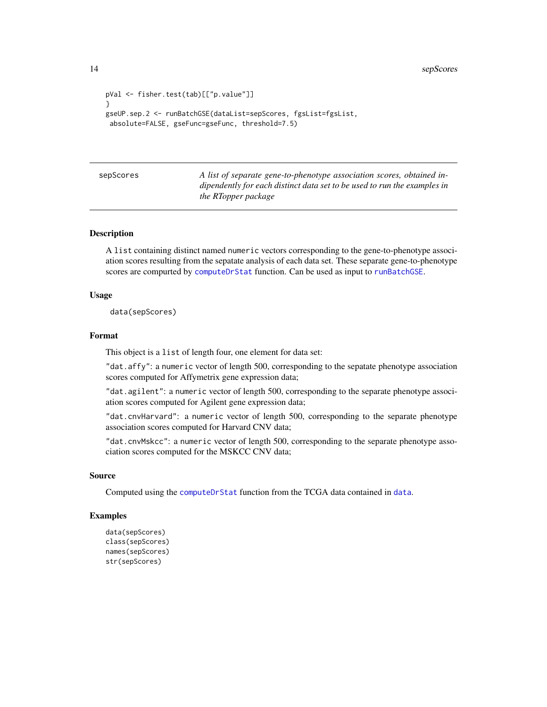<span id="page-13-0"></span>14 sepScores

```
pVal <- fisher.test(tab)[["p.value"]]
}
gseUP.sep.2 <- runBatchGSE(dataList=sepScores, fgsList=fgsList,
absolute=FALSE, gseFunc=gseFunc, threshold=7.5)
```
<span id="page-13-1"></span>sepScores *A list of separate gene-to-phenotype association scores, obtained indipendently for each distinct data set to be used to run the examples in the RTopper package*

#### Description

A list containing distinct named numeric vectors corresponding to the gene-to-phenotype association scores resulting from the sepatate analysis of each data set. These separate gene-to-phenotype scores are compurted by [computeDrStat](#page-4-1) function. Can be used as input to [runBatchGSE](#page-11-1).

#### Usage

data(sepScores)

#### Format

This object is a list of length four, one element for data set:

"dat.affy": a numeric vector of length 500, corresponding to the sepatate phenotype association scores computed for Affymetrix gene expression data;

"dat.agilent": a numeric vector of length 500, corresponding to the separate phenotype association scores computed for Agilent gene expression data;

"dat.cnvHarvard": a numeric vector of length 500, corresponding to the separate phenotype association scores computed for Harvard CNV data;

"dat.cnvMskcc": a numeric vector of length 500, corresponding to the separate phenotype association scores computed for the MSKCC CNV data;

#### Source

Computed using the [computeDrStat](#page-4-1) function from the TCGA data contained in [data](#page-0-0).

#### Examples

```
data(sepScores)
class(sepScores)
names(sepScores)
str(sepScores)
```